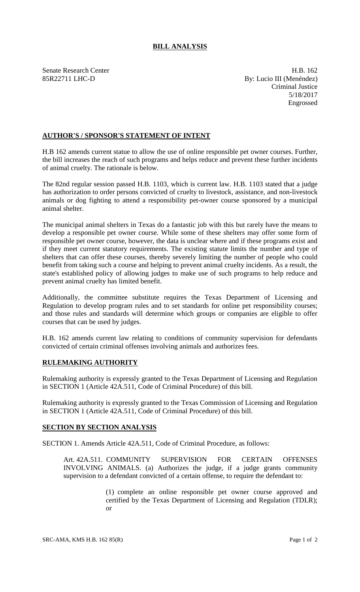## **BILL ANALYSIS**

Senate Research Center **H.B.** 162 85R22711 LHC-D By: Lucio III (Menéndez) Criminal Justice 5/18/2017 Engrossed

## **AUTHOR'S / SPONSOR'S STATEMENT OF INTENT**

H.B 162 amends current statue to allow the use of online responsible pet owner courses. Further, the bill increases the reach of such programs and helps reduce and prevent these further incidents of animal cruelty. The rationale is below.

The 82nd regular session passed H.B. 1103, which is current law. H.B. 1103 stated that a judge has authorization to order persons convicted of cruelty to livestock, assistance, and non-livestock animals or dog fighting to attend a responsibility pet-owner course sponsored by a municipal animal shelter.

The municipal animal shelters in Texas do a fantastic job with this but rarely have the means to develop a responsible pet owner course. While some of these shelters may offer some form of responsible pet owner course, however, the data is unclear where and if these programs exist and if they meet current statutory requirements. The existing statute limits the number and type of shelters that can offer these courses, thereby severely limiting the number of people who could benefit from taking such a course and helping to prevent animal cruelty incidents. As a result, the state's established policy of allowing judges to make use of such programs to help reduce and prevent animal cruelty has limited benefit.

Additionally, the committee substitute requires the Texas Department of Licensing and Regulation to develop program rules and to set standards for online pet responsibility courses; and those rules and standards will determine which groups or companies are eligible to offer courses that can be used by judges.

H.B. 162 amends current law relating to conditions of community supervision for defendants convicted of certain criminal offenses involving animals and authorizes fees.

## **RULEMAKING AUTHORITY**

Rulemaking authority is expressly granted to the Texas Department of Licensing and Regulation in SECTION 1 (Article 42A.511, Code of Criminal Procedure) of this bill.

Rulemaking authority is expressly granted to the Texas Commission of Licensing and Regulation in SECTION 1 (Article 42A.511, Code of Criminal Procedure) of this bill.

## **SECTION BY SECTION ANALYSIS**

SECTION 1. Amends Article 42A.511, Code of Criminal Procedure, as follows:

Art. 42A.511. COMMUNITY SUPERVISION FOR CERTAIN OFFENSES INVOLVING ANIMALS. (a) Authorizes the judge, if a judge grants community supervision to a defendant convicted of a certain offense, to require the defendant to:

> (1) complete an online responsible pet owner course approved and certified by the Texas Department of Licensing and Regulation (TDLR); or